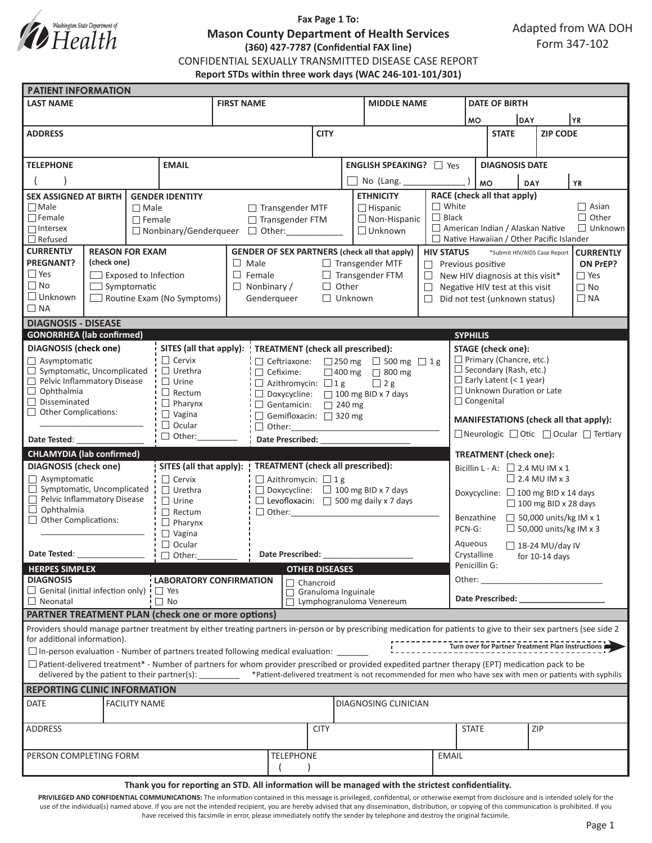

## **Fax Page 1 To: Mason County Department of Health Services (360) 427-7787 (Confidential FAX line)** CONFIDENTIAL SEXUALLY TRANSMITTED DISEASE CASE REPORT **Report STDs within three work days (WAC 246-101-101/301)**

| <b>PATIENT INFORMATION</b>                                                                                                                                                                                                                                                                                               |                             |               |                                                             |                                                                                     |                                                            |                                                               |                                                                           |                                                                                                                                                                                                                                |                                                                                        |                                                  |                 |  |           |  |  |
|--------------------------------------------------------------------------------------------------------------------------------------------------------------------------------------------------------------------------------------------------------------------------------------------------------------------------|-----------------------------|---------------|-------------------------------------------------------------|-------------------------------------------------------------------------------------|------------------------------------------------------------|---------------------------------------------------------------|---------------------------------------------------------------------------|--------------------------------------------------------------------------------------------------------------------------------------------------------------------------------------------------------------------------------|----------------------------------------------------------------------------------------|--------------------------------------------------|-----------------|--|-----------|--|--|
| <b>LAST NAME</b>                                                                                                                                                                                                                                                                                                         |                             |               | <b>FIRST NAME</b>                                           |                                                                                     | <b>MIDDLE NAME</b>                                         |                                                               |                                                                           |                                                                                                                                                                                                                                | <b>DATE OF BIRTH</b>                                                                   |                                                  |                 |  |           |  |  |
|                                                                                                                                                                                                                                                                                                                          |                             |               |                                                             |                                                                                     |                                                            |                                                               |                                                                           |                                                                                                                                                                                                                                | <b>MO</b>                                                                              |                                                  | DAY             |  | YR        |  |  |
| <b>ADDRESS</b>                                                                                                                                                                                                                                                                                                           |                             |               |                                                             |                                                                                     | <b>CITY</b>                                                |                                                               |                                                                           |                                                                                                                                                                                                                                | <b>STATE</b>                                                                           |                                                  | <b>ZIP CODE</b> |  |           |  |  |
|                                                                                                                                                                                                                                                                                                                          |                             |               |                                                             |                                                                                     |                                                            |                                                               |                                                                           |                                                                                                                                                                                                                                |                                                                                        |                                                  |                 |  |           |  |  |
| <b>EMAIL</b><br><b>TELEPHONE</b>                                                                                                                                                                                                                                                                                         |                             |               |                                                             | <b>ENGLISH SPEAKING?</b> □ Yes                                                      |                                                            |                                                               |                                                                           |                                                                                                                                                                                                                                | <b>DIAGNOSIS DATE</b>                                                                  |                                                  |                 |  |           |  |  |
|                                                                                                                                                                                                                                                                                                                          |                             |               |                                                             |                                                                                     |                                                            |                                                               |                                                                           |                                                                                                                                                                                                                                |                                                                                        | MO                                               |                 |  |           |  |  |
|                                                                                                                                                                                                                                                                                                                          |                             |               |                                                             |                                                                                     |                                                            |                                                               | No (Lang. $\_\_$                                                          |                                                                                                                                                                                                                                |                                                                                        |                                                  | <b>DAY</b>      |  | <b>YR</b> |  |  |
| <b>SEX ASSIGNED AT BIRTH</b><br>$\Box$ Male<br>$\Box$ Male                                                                                                                                                                                                                                                               |                             |               | <b>GENDER IDENTITY</b>                                      |                                                                                     |                                                            | <b>ETHNICITY</b><br>$\Box$ Hispanic<br>$\Box$ Transgender MTF |                                                                           |                                                                                                                                                                                                                                | RACE (check all that apply)<br>$\Box$ White<br>$\Box$ Asian                            |                                                  |                 |  |           |  |  |
| $\Box$ Female                                                                                                                                                                                                                                                                                                            |                             | $\Box$ Female |                                                             |                                                                                     |                                                            | $\Box$ Non-Hispanic<br>□ Transgender FTM                      |                                                                           |                                                                                                                                                                                                                                | $\Box$ Black<br>$\Box$ Other                                                           |                                                  |                 |  |           |  |  |
| $\Box$ Intersex                                                                                                                                                                                                                                                                                                          |                             |               |                                                             |                                                                                     | $\Box$ Unknown<br>□ Nonbinary/Genderqueer □ Other:         |                                                               |                                                                           |                                                                                                                                                                                                                                | American Indian / Alaskan Native<br>$\Box$ Unknown                                     |                                                  |                 |  |           |  |  |
| $\Box$ Refused                                                                                                                                                                                                                                                                                                           |                             |               |                                                             |                                                                                     |                                                            |                                                               |                                                                           |                                                                                                                                                                                                                                | $\Box$ Native Hawaiian / Other Pacific Islander                                        |                                                  |                 |  |           |  |  |
| <b>REASON FOR EXAM</b><br><b>CURRENTLY</b>                                                                                                                                                                                                                                                                               |                             |               |                                                             |                                                                                     |                                                            |                                                               | <b>GENDER OF SEX PARTNERS (check all that apply)</b><br><b>HIV STATUS</b> |                                                                                                                                                                                                                                |                                                                                        | *Submit HIV/AIDS Case Report<br><b>CURRENTLY</b> |                 |  |           |  |  |
| <b>PREGNANT?</b><br>$\Box$ Yes                                                                                                                                                                                                                                                                                           | (check one)                 |               |                                                             | $\Box$ Male<br>$\Box$ Transgender MTF                                               |                                                            |                                                               |                                                                           |                                                                                                                                                                                                                                | $\Box$ Previous positive<br>ON PrEP?                                                   |                                                  |                 |  |           |  |  |
| $\Box$ No                                                                                                                                                                                                                                                                                                                | $\Box$ Exposed to Infection |               |                                                             | $\Box$ Female<br>$\Box$ Transgender FTM                                             |                                                            |                                                               |                                                                           | $\Box$ Yes<br>$\Box$ New HIV diagnosis at this visit*<br>$\Box$ No                                                                                                                                                             |                                                                                        |                                                  |                 |  |           |  |  |
| $\Box$ Symptomatic<br>$\Box$ Unknown<br>Routine Exam (No Symptoms)                                                                                                                                                                                                                                                       |                             |               |                                                             | $\Box$ Nonbinary /<br>$\Box$ Other<br>$\Box$<br>Genderqueer<br>$\Box$ Unknown<br>П. |                                                            |                                                               |                                                                           |                                                                                                                                                                                                                                | Negative HIV test at this visit<br>Did not test (unknown status)<br>$\Box$ NA          |                                                  |                 |  |           |  |  |
| $\Box$ NA                                                                                                                                                                                                                                                                                                                |                             |               |                                                             |                                                                                     |                                                            |                                                               |                                                                           |                                                                                                                                                                                                                                |                                                                                        |                                                  |                 |  |           |  |  |
|                                                                                                                                                                                                                                                                                                                          | <b>DIAGNOSIS - DISEASE</b>  |               |                                                             |                                                                                     |                                                            |                                                               |                                                                           |                                                                                                                                                                                                                                |                                                                                        |                                                  |                 |  |           |  |  |
| <b>GONORRHEA</b> (lab confirmed)                                                                                                                                                                                                                                                                                         |                             |               |                                                             |                                                                                     |                                                            |                                                               |                                                                           |                                                                                                                                                                                                                                | <b>SYPHILIS</b>                                                                        |                                                  |                 |  |           |  |  |
| <b>DIAGNOSIS</b> (check one)                                                                                                                                                                                                                                                                                             |                             |               | SITES (all that apply):   TREATMENT (check all prescribed): |                                                                                     |                                                            |                                                               |                                                                           |                                                                                                                                                                                                                                | <b>STAGE</b> (check one):                                                              |                                                  |                 |  |           |  |  |
| $\Box$ Asymptomatic                                                                                                                                                                                                                                                                                                      |                             |               | $\Box$ Cervix                                               |                                                                                     | $\Box$ Ceftriaxone: $\Box$ 250 mg $\Box$ 500 mg $\Box$ 1 g |                                                               |                                                                           |                                                                                                                                                                                                                                | $\Box$ Primary (Chancre, etc.)                                                         |                                                  |                 |  |           |  |  |
| $\Box$ Symptomatic, Uncomplicated                                                                                                                                                                                                                                                                                        |                             |               | $\Box$ Urethra                                              |                                                                                     | $\Box$ Cefixime:                                           | □ 400 mg □ 800 mg                                             |                                                                           |                                                                                                                                                                                                                                | $\Box$ Secondary (Rash, etc.)                                                          |                                                  |                 |  |           |  |  |
| Pelvic Inflammatory Disease                                                                                                                                                                                                                                                                                              |                             |               | $\Box$ Urine                                                |                                                                                     | $\Box$ Azithromycin: $\Box$ 1 g<br>$\Box$ 2 g              |                                                               |                                                                           |                                                                                                                                                                                                                                |                                                                                        | $\Box$ Early Latent (< 1 year)                   |                 |  |           |  |  |
| $\Box$ Ophthalmia<br>Disseminated                                                                                                                                                                                                                                                                                        |                             |               | $\Box$ Rectum                                               |                                                                                     |                                                            | □ Doxycycline: □ 100 mg BID x 7 days                          |                                                                           |                                                                                                                                                                                                                                | $\Box$ Unknown Duration or Late                                                        |                                                  |                 |  |           |  |  |
| Other Complications:                                                                                                                                                                                                                                                                                                     |                             |               |                                                             | $\Box$ Pharynx<br>$\Box$ Gentamicin: $\Box$ 240 mg                                  |                                                            |                                                               |                                                                           |                                                                                                                                                                                                                                |                                                                                        | $\Box$ Congenital                                |                 |  |           |  |  |
|                                                                                                                                                                                                                                                                                                                          |                             |               | $\Box$ Vagina<br>$\Box$ Ocular                              |                                                                                     |                                                            | Gemifloxacin: 320 mg                                          |                                                                           |                                                                                                                                                                                                                                | MANIFESTATIONS (check all that apply):                                                 |                                                  |                 |  |           |  |  |
| Date Tested:                                                                                                                                                                                                                                                                                                             |                             |               | $\Box$ Other:                                               | Date Prescribed:                                                                    |                                                            |                                                               |                                                                           |                                                                                                                                                                                                                                | □ Neurologic □ Otic □ Ocular □ Tertiary                                                |                                                  |                 |  |           |  |  |
|                                                                                                                                                                                                                                                                                                                          |                             |               |                                                             |                                                                                     |                                                            |                                                               |                                                                           |                                                                                                                                                                                                                                |                                                                                        |                                                  |                 |  |           |  |  |
| <b>CHLAMYDIA (lab confirmed)</b><br><b>DIAGNOSIS</b> (check one)                                                                                                                                                                                                                                                         |                             |               | SITES (all that apply):                                     | <b>TREATMENT</b> (check all prescribed):                                            |                                                            |                                                               |                                                                           |                                                                                                                                                                                                                                | <b>TREATMENT</b> (check one):<br>Bicillin L - A: $\Box$ 2.4 MU IM x 1                  |                                                  |                 |  |           |  |  |
| $\Box$ Asymptomatic                                                                                                                                                                                                                                                                                                      |                             |               | $\Box$ Cervix                                               |                                                                                     | $\Box$ Azithromycin: $\Box$ 1 g                            |                                                               |                                                                           |                                                                                                                                                                                                                                | $\Box$ 2.4 MU IM x 3                                                                   |                                                  |                 |  |           |  |  |
| $\Box$ Symptomatic, Uncomplicated                                                                                                                                                                                                                                                                                        |                             |               | $\Box$ Urethra                                              |                                                                                     | $\Box$ Doxycycline: $\Box$ 100 mg BID x 7 days             |                                                               |                                                                           |                                                                                                                                                                                                                                | Doxycycline: □ 100 mg BID x 14 days                                                    |                                                  |                 |  |           |  |  |
| Pelvic Inflammatory Disease                                                                                                                                                                                                                                                                                              |                             |               | $\Box$ Urine                                                |                                                                                     | $\Box$ Levofloxacin: $\Box$ 500 mg daily x 7 days          |                                                               |                                                                           |                                                                                                                                                                                                                                | $\Box$ 100 mg BID x 28 days                                                            |                                                  |                 |  |           |  |  |
| $\Box$ Ophthalmia                                                                                                                                                                                                                                                                                                        |                             |               | $\Box$ Rectum                                               |                                                                                     | $\Box$ Other:                                              |                                                               |                                                                           |                                                                                                                                                                                                                                |                                                                                        |                                                  |                 |  |           |  |  |
| $\Box$ Other Complications:                                                                                                                                                                                                                                                                                              |                             |               | $\Box$ Pharynx                                              |                                                                                     |                                                            |                                                               |                                                                           |                                                                                                                                                                                                                                | $\Box$ 50,000 units/kg IM x 1<br>Benzathine<br>$\Box$ 50,000 units/kg IM x 3<br>PCN-G: |                                                  |                 |  |           |  |  |
|                                                                                                                                                                                                                                                                                                                          |                             |               | $\Box$ Vagina<br>$\Box$ Ocular                              |                                                                                     |                                                            |                                                               |                                                                           |                                                                                                                                                                                                                                | Aqueous                                                                                |                                                  |                 |  |           |  |  |
| Date Tested: The Contract of the Contract of the Contract of the Contract of the Contract of the Contract of the Contract of the Contract of the Contract of the Contract of the Contract of the Contract of the Contract of t<br>□ Other:                                                                               |                             |               |                                                             | Date Prescribed:                                                                    |                                                            |                                                               |                                                                           | $\Box$ 18-24 MU/day IV<br>Crystalline<br>for $10-14$ days                                                                                                                                                                      |                                                                                        |                                                  |                 |  |           |  |  |
| <b>HERPES SIMPLEX</b>                                                                                                                                                                                                                                                                                                    |                             |               | <b>OTHER DISEASES</b>                                       |                                                                                     |                                                            |                                                               |                                                                           | Penicillin G:                                                                                                                                                                                                                  |                                                                                        |                                                  |                 |  |           |  |  |
| <b>DIAGNOSIS</b>                                                                                                                                                                                                                                                                                                         |                             |               |                                                             | <b>LABORATORY CONFIRMATION</b><br>$\Box$ Chancroid                                  |                                                            |                                                               |                                                                           |                                                                                                                                                                                                                                | Other:                                                                                 |                                                  |                 |  |           |  |  |
| $\Box$ Genital (initial infection only)<br>$\mathbf{y} \Box$ Yes                                                                                                                                                                                                                                                         |                             |               |                                                             |                                                                                     |                                                            | Granuloma Inguinale                                           |                                                                           |                                                                                                                                                                                                                                |                                                                                        |                                                  |                 |  |           |  |  |
| $\Box$ No<br>$\Box$ Neonatal                                                                                                                                                                                                                                                                                             |                             |               | Lymphogranuloma Venereum                                    |                                                                                     |                                                            |                                                               |                                                                           | Date Prescribed: Note that the present of the state of the state of the state of the state of the state of the state of the state of the state of the state of the state of the state of the state of the state of the state o |                                                                                        |                                                  |                 |  |           |  |  |
| <b>PARTNER TREATMENT PLAN (check one or more options)</b>                                                                                                                                                                                                                                                                |                             |               |                                                             |                                                                                     |                                                            |                                                               |                                                                           |                                                                                                                                                                                                                                |                                                                                        |                                                  |                 |  |           |  |  |
| Providers should manage partner treatment by either treating partners in-person or by prescribing medication for patients to give to their sex partners (see side 2<br>for additional information).<br>Turn over for Partner Treatment Plan Instructions                                                                 |                             |               |                                                             |                                                                                     |                                                            |                                                               |                                                                           |                                                                                                                                                                                                                                |                                                                                        |                                                  |                 |  |           |  |  |
| $\Box$ In-person evaluation - Number of partners treated following medical evaluation:                                                                                                                                                                                                                                   |                             |               |                                                             |                                                                                     |                                                            |                                                               |                                                                           |                                                                                                                                                                                                                                |                                                                                        |                                                  |                 |  |           |  |  |
| $\Box$ Patient-delivered treatment* - Number of partners for whom provider prescribed or provided expedited partner therapy (EPT) medication pack to be<br>delivered by the patient to their partner(s): _______ *Patient-delivered treatment is not recommended for men who have sex with men or patients with syphilis |                             |               |                                                             |                                                                                     |                                                            |                                                               |                                                                           |                                                                                                                                                                                                                                |                                                                                        |                                                  |                 |  |           |  |  |
| <b>REPORTING CLINIC INFORMATION</b>                                                                                                                                                                                                                                                                                      |                             |               |                                                             |                                                                                     |                                                            |                                                               |                                                                           |                                                                                                                                                                                                                                |                                                                                        |                                                  |                 |  |           |  |  |
| <b>FACILITY NAME</b><br><b>DATE</b>                                                                                                                                                                                                                                                                                      |                             |               |                                                             |                                                                                     | <b>DIAGNOSING CLINICIAN</b>                                |                                                               |                                                                           |                                                                                                                                                                                                                                |                                                                                        |                                                  |                 |  |           |  |  |
| ADDRESS                                                                                                                                                                                                                                                                                                                  |                             |               |                                                             |                                                                                     | <b>CITY</b>                                                |                                                               |                                                                           |                                                                                                                                                                                                                                | ZIP<br><b>STATE</b>                                                                    |                                                  |                 |  |           |  |  |
| PERSON COMPLETING FORM                                                                                                                                                                                                                                                                                                   |                             |               |                                                             | <b>TELEPHONE</b>                                                                    |                                                            |                                                               | <b>EMAIL</b>                                                              |                                                                                                                                                                                                                                |                                                                                        |                                                  |                 |  |           |  |  |
|                                                                                                                                                                                                                                                                                                                          |                             |               |                                                             |                                                                                     |                                                            |                                                               |                                                                           |                                                                                                                                                                                                                                |                                                                                        |                                                  |                 |  |           |  |  |

#### **Thank you for reporting an STD. All information will be managed with the strictest confidentiality.**

PRIVILEGED AND CONFIDENTIAL COMMUNICATIONS: The information contained in this message is privileged, confidential, or otherwise exempt from disclosure and is intended solely for the use of the individual(s) named above. If you are not the intended recipient, you are hereby advised that any dissemination, distribution, or copying of this communication is prohibited. If you have received this facsimile in error, please immediately notify the sender by telephone and destroy the original facsimile.